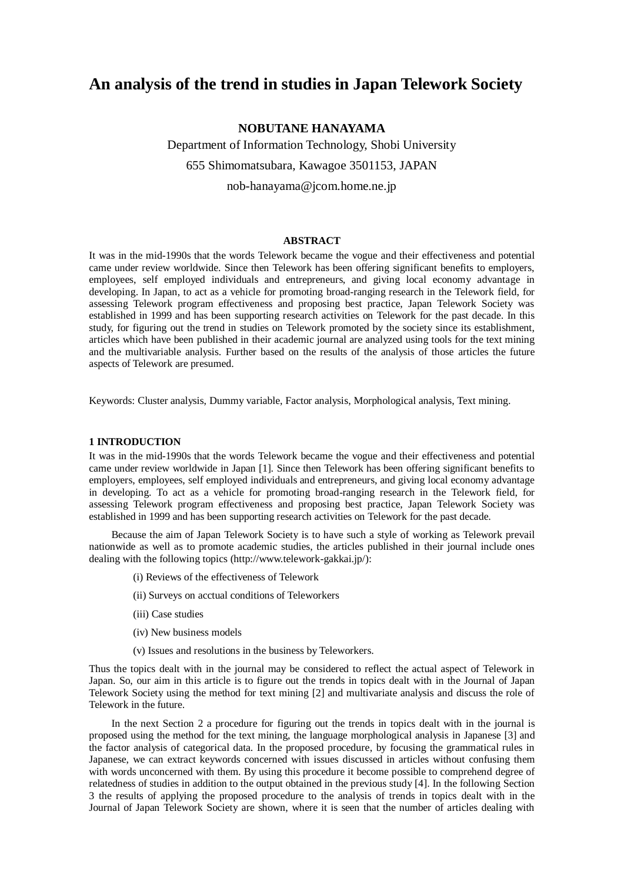# **An analysis of the trend in studies in Japan Telework Society**

# **NOBUTANE HANAYAMA**

Department of Information Technology, Shobi University 655 Shimomatsubara, Kawagoe 3501153, JAPAN nob-hanayama@jcom.home.ne.jp

# **ABSTRACT**

It was in the mid-1990s that the words Telework became the vogue and their effectiveness and potential came under review worldwide. Since then Telework has been offering significant benefits to employers, employees, self employed individuals and entrepreneurs, and giving local economy advantage in developing. In Japan, to act as a vehicle for promoting broad-ranging research in the Telework field, for assessing Telework program effectiveness and proposing best practice, Japan Telework Society was established in 1999 and has been supporting research activities on Telework for the past decade. In this study, for figuring out the trend in studies on Telework promoted by the society since its establishment, articles which have been published in their academic journal are analyzed using tools for the text mining and the multivariable analysis. Further based on the results of the analysis of those articles the future aspects of Telework are presumed.

Keywords: Cluster analysis, Dummy variable, Factor analysis, Morphological analysis, Text mining.

# **1 INTRODUCTION**

It was in the mid-1990s that the words Telework became the vogue and their effectiveness and potential came under review worldwide in Japan [1]. Since then Telework has been offering significant benefits to employers, employees, self employed individuals and entrepreneurs, and giving local economy advantage in developing. To act as a vehicle for promoting broad-ranging research in the Telework field, for assessing Telework program effectiveness and proposing best practice, Japan Telework Society was established in 1999 and has been supporting research activities on Telework for the past decade.

Because the aim of Japan Telework Society is to have such a style of working as Telework prevail nationwide as well as to promote academic studies, the articles published in their journal include ones dealing with the following topics (http://www.telework-gakkai.jp/):

- (i) Reviews of the effectiveness of Telework
- (ii) Surveys on acctual conditions of Teleworkers
- (iii) Case studies
- (iv) New business models
- (v) Issues and resolutions in the business by Teleworkers.

Thus the topics dealt with in the journal may be considered to reflect the actual aspect of Telework in Japan. So, our aim in this article is to figure out the trends in topics dealt with in the Journal of Japan Telework Society using the method for text mining [2] and multivariate analysis and discuss the role of Telework in the future.

In the next Section 2 a procedure for figuring out the trends in topics dealt with in the journal is proposed using the method for the text mining, the language morphological analysis in Japanese [3] and the factor analysis of categorical data. In the proposed procedure, by focusing the grammatical rules in Japanese, we can extract keywords concerned with issues discussed in articles without confusing them with words unconcerned with them. By using this procedure it become possible to comprehend degree of relatedness of studies in addition to the output obtained in the previous study [4]. In the following Section 3 the results of applying the proposed procedure to the analysis of trends in topics dealt with in the Journal of Japan Telework Society are shown, where it is seen that the number of articles dealing with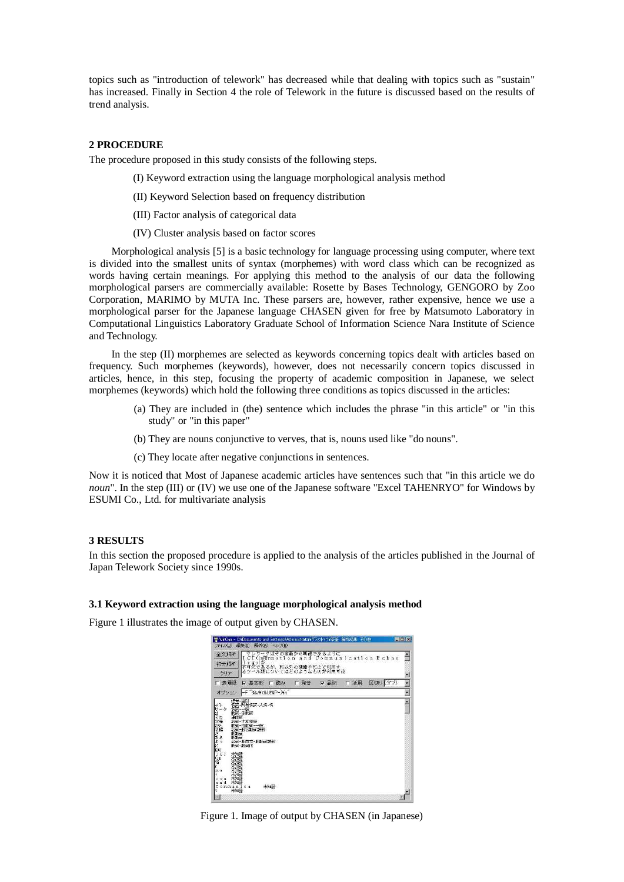topics such as "introduction of telework" has decreased while that dealing with topics such as "sustain" has increased. Finally in Section 4 the role of Telework in the future is discussed based on the results of trend analysis.

# **2 PROCEDURE**

The procedure proposed in this study consists of the following steps.

- (I) Keyword extraction using the language morphological analysis method
- (II) Keyword Selection based on frequency distribution
- (III) Factor analysis of categorical data
- (IV) Cluster analysis based on factor scores

Morphological analysis [5] is a basic technology for language processing using computer, where text is divided into the smallest units of syntax (morphemes) with word class which can be recognized as words having certain meanings. For applying this method to the analysis of our data the following morphological parsers are commercially available: Rosette by Bases Technology, GENGORO by Zoo Corporation, MARIMO by MUTA Inc. These parsers are, however, rather expensive, hence we use a morphological parser for the Japanese language CHASEN given for free by Matsumoto Laboratory in Computational Linguistics Laboratory Graduate School of Information Science Nara Institute of Science and Technology.

In the step (II) morphemes are selected as keywords concerning topics dealt with articles based on frequency. Such morphemes (keywords), however, does not necessarily concern topics discussed in articles, hence, in this step, focusing the property of academic composition in Japanese, we select morphemes (keywords) which hold the following three conditions as topics discussed in the articles:

- (a) They are included in (the) sentence which includes the phrase "in this article" or "in this study" or "in this paper"
- (b) They are nouns conjunctive to verves, that is, nouns used like "do nouns".
- (c) They locate after negative conjunctions in sentences.

Now it is noticed that Most of Japanese academic articles have sentences such that "in this article we do *noun*". In the step (III) or (IV) we use one of the Japanese software "Excel TAHENRYO" for Windows by ESUMI Co., Ltd. for multivariate analysis

#### **3 RESULTS**

In this section the proposed procedure is applied to the analysis of the articles published in the Journal of Japan Telework Society since 1990s.

#### **3.1 Keyword extraction using the language morphological analysis method**

Figure 1 illustrates the image of output given by CHASEN.



Figure 1. Image of output by CHASEN (in Japanese)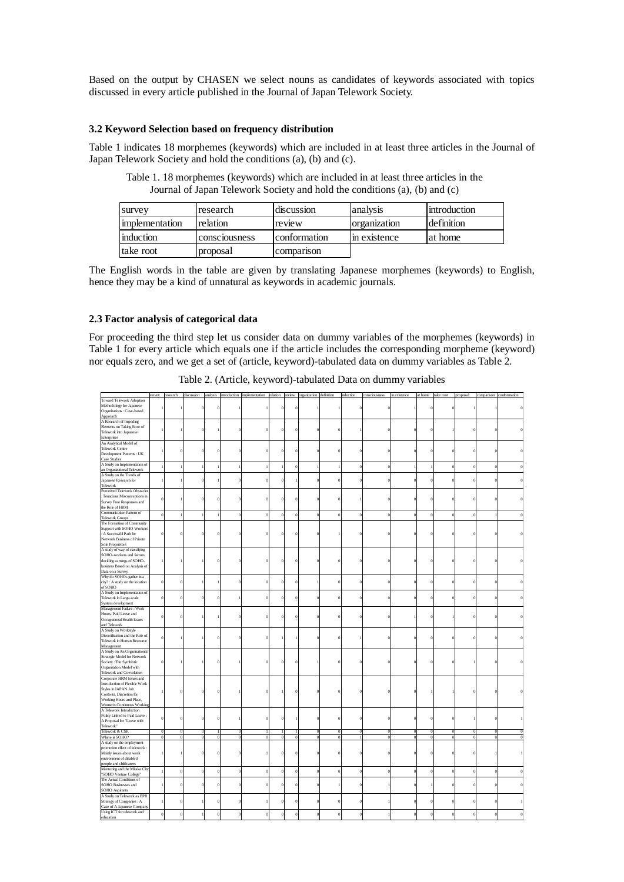Based on the output by CHASEN we select nouns as candidates of keywords associated with topics discussed in every article published in the Journal of Japan Telework Society.

# **3.2 Keyword Selection based on frequency distribution**

Table 1 indicates 18 morphemes (keywords) which are included in at least three articles in the Journal of Japan Telework Society and hold the conditions (a), (b) and (c).

Table 1. 18 morphemes (keywords) which are included in at least three articles in the Journal of Japan Telework Society and hold the conditions (a), (b) and (c)

| survey         | research      | discussion   | analysis            | Introduction |
|----------------|---------------|--------------|---------------------|--------------|
| implementation | relation      | review       | <i>c</i> eanization | definition   |
| induction      | consciousness | conformation | in existence        | at home      |
| take root      | proposal      | comparison   |                     |              |

The English words in the table are given by translating Japanese morphemes (keywords) to English, hence they may be a kind of unnatural as keywords in academic journals.

# **2.3 Factor analysis of categorical data**

For proceeding the third step let us consider data on dummy variables of the morphemes (keywords) in Table 1 for every article which equals one if the article includes the corresponding morpheme (keyword) nor equals zero, and we get a set of (article, keyword)-tabulated data on dummy variables as Table 2.

|                                 | survey       | research         | discussion |                  |          | analysis introduction implementation relation review organization definition |                  |                  |          | induction   | consciousness | in existence | at home take root |          | proposal     | comparison conformation |  |
|---------------------------------|--------------|------------------|------------|------------------|----------|------------------------------------------------------------------------------|------------------|------------------|----------|-------------|---------------|--------------|-------------------|----------|--------------|-------------------------|--|
| <b>Toward Telework Adoption</b> |              |                  |            |                  |          |                                                                              |                  |                  |          |             |               |              |                   |          |              |                         |  |
| Methodology for Japanese        |              |                  |            | $\theta$         |          |                                                                              | $\Omega$         |                  |          |             |               |              |                   |          |              |                         |  |
| Organizations: Case-based       |              |                  |            |                  |          |                                                                              |                  |                  |          |             |               |              |                   |          |              |                         |  |
| Approach                        |              |                  |            |                  |          |                                                                              |                  |                  |          |             |               |              |                   |          |              |                         |  |
| A Research of Impeding          |              |                  |            |                  |          |                                                                              |                  |                  |          |             |               |              |                   |          |              |                         |  |
| Elements on Taking Root of      |              |                  |            |                  |          |                                                                              |                  |                  |          |             |               |              |                   |          |              |                         |  |
| Telework into Japanese          |              |                  |            |                  |          |                                                                              | $\boldsymbol{0}$ | $\bf{0}$         |          |             |               |              |                   |          |              |                         |  |
| Enterprises                     |              |                  |            |                  |          |                                                                              |                  |                  |          |             |               |              |                   |          |              |                         |  |
| An Analytical Model of          |              |                  |            |                  |          |                                                                              |                  |                  |          |             |               |              |                   |          |              |                         |  |
| <b>Telework Centre</b>          |              |                  |            |                  |          |                                                                              |                  |                  |          |             |               |              |                   |          |              |                         |  |
| Development Patterns: UK        |              | $\Omega$         |            | $\theta$         |          |                                                                              | $\Omega$         | $\theta$         |          |             |               |              |                   |          |              |                         |  |
| Case Studies                    |              |                  |            |                  |          |                                                                              |                  |                  |          |             |               |              |                   |          |              |                         |  |
|                                 |              |                  |            |                  |          |                                                                              |                  |                  |          |             |               |              |                   |          |              |                         |  |
| A Study on Implementation of    |              |                  |            | $\mathbf{I}$     |          |                                                                              | $\overline{0}$   | $\mathbf{1}$     |          | $\theta$    | $\mathbf 0$   |              |                   |          |              | $\mathbf{C}$            |  |
| an Organizational Telework      |              |                  |            |                  |          |                                                                              |                  |                  |          |             |               |              |                   |          |              |                         |  |
| A Study on the Trends of        |              |                  |            |                  |          |                                                                              |                  |                  |          |             |               |              |                   |          |              |                         |  |
| Japanese Research for           |              |                  |            |                  |          |                                                                              |                  | $\mathbf 0$      |          |             |               |              |                   |          |              |                         |  |
| Telework                        |              |                  |            |                  |          |                                                                              |                  |                  |          |             |               |              |                   |          |              |                         |  |
| Perceived Telework Obstacles    |              |                  |            |                  |          |                                                                              |                  |                  |          |             |               |              |                   |          |              |                         |  |
| : Tenacious Misconceptions in   | $\epsilon$   |                  |            | $\theta$         |          |                                                                              | $\Omega$         | $\theta$         |          |             |               |              |                   |          |              |                         |  |
| Survey Free Responses and       |              |                  |            |                  |          |                                                                              |                  |                  |          |             |               |              |                   |          |              |                         |  |
| the Role of HRM                 |              |                  |            |                  |          |                                                                              |                  |                  |          |             |               |              |                   |          |              |                         |  |
| Communication Pattern of        |              |                  |            |                  |          |                                                                              | $\theta$         | $\mathbf 0$      |          |             |               |              |                   |          |              |                         |  |
| <b>Telework Groups</b>          |              |                  |            |                  |          |                                                                              |                  |                  |          |             |               |              |                   |          |              |                         |  |
| The Formation of Community      |              |                  |            |                  |          |                                                                              |                  |                  |          |             |               |              |                   |          |              |                         |  |
| Support with SOHO Workers       |              |                  |            |                  |          |                                                                              |                  |                  |          |             |               |              |                   |          |              |                         |  |
| : A Successful Path for         |              |                  |            | $\overline{0}$   |          |                                                                              |                  | $\mathbf 0$      |          |             |               |              |                   |          |              |                         |  |
| Network Business of Private     |              |                  |            |                  |          |                                                                              |                  |                  |          |             |               |              |                   |          |              |                         |  |
| Sole Proprietors                |              |                  |            |                  |          |                                                                              |                  |                  |          |             |               |              |                   |          |              |                         |  |
| A study of way of classifying   |              |                  |            |                  |          |                                                                              |                  |                  |          |             |               |              |                   |          |              |                         |  |
| SOHO-workers and factors        |              |                  |            |                  |          |                                                                              |                  |                  |          |             |               |              |                   |          |              |                         |  |
| deciding earnings of SOHO-      |              |                  |            | $\overline{0}$   |          |                                                                              | $\Omega$         | $\mathbf 0$      |          |             |               |              |                   |          |              |                         |  |
| business Based on Analysis of   |              |                  |            |                  |          |                                                                              |                  |                  |          |             |               |              |                   |          |              |                         |  |
|                                 |              |                  |            |                  |          |                                                                              |                  |                  |          |             |               |              |                   |          |              |                         |  |
| Data on a Survey                |              |                  |            |                  |          |                                                                              |                  |                  |          |             |               |              |                   |          |              |                         |  |
| Why do SOHOs gather in a        |              |                  |            |                  |          |                                                                              |                  |                  |          |             |               |              |                   |          |              |                         |  |
| city? : A study on the location | £            | $\theta$         |            | $\mathbf{I}$     | $\Omega$ |                                                                              | $\Omega$         | $\mathbf{1}$     |          | $\theta$    | $\theta$      |              |                   |          |              | C                       |  |
| of SOHO                         |              |                  |            |                  |          |                                                                              |                  |                  |          |             |               |              |                   |          |              |                         |  |
| A Study on Implementation of    |              |                  |            |                  |          |                                                                              |                  |                  |          |             |               |              |                   |          |              |                         |  |
| Telework in Large-scale         | $\mathbf 0$  | $\boldsymbol{0}$ |            | $\boldsymbol{0}$ |          |                                                                              | $\theta$         | $\boldsymbol{0}$ |          | $\mathbf 0$ | $\theta$      |              |                   |          |              | O                       |  |
| System development              |              |                  |            |                  |          |                                                                              |                  |                  |          |             |               |              |                   |          |              |                         |  |
| Management Failure: Work        |              |                  |            |                  |          |                                                                              |                  |                  |          |             |               |              |                   |          |              |                         |  |
| Hours, Paid Leave and           | $\mathbf 0$  | $\theta$         |            | $\mathbf{I}$     | $\Omega$ |                                                                              | $\Omega$         | $\theta$         |          | $\sqrt{ }$  | $\theta$      |              |                   |          |              | O                       |  |
| Occupational Health Issues      |              |                  |            |                  |          |                                                                              |                  |                  |          |             |               |              |                   |          |              |                         |  |
| and Telework                    |              |                  |            |                  |          |                                                                              |                  |                  |          |             |               |              |                   |          |              |                         |  |
| A Study on Workstyle            |              |                  |            |                  |          |                                                                              |                  |                  |          |             |               |              |                   |          |              |                         |  |
| Diversification and the Role of |              |                  |            |                  |          |                                                                              |                  |                  |          |             |               |              |                   |          |              |                         |  |
| Telework in Human Resource      | $\theta$     |                  |            | $\overline{0}$   | $\Omega$ |                                                                              |                  | $\theta$         |          |             | $\theta$      |              |                   |          |              |                         |  |
| Management                      |              |                  |            |                  |          |                                                                              |                  |                  |          |             |               |              |                   |          |              |                         |  |
| A Study on An Organizational    |              |                  |            |                  |          |                                                                              |                  |                  |          |             |               |              |                   |          |              |                         |  |
|                                 |              |                  |            |                  |          |                                                                              |                  |                  |          |             |               |              |                   |          |              |                         |  |
| Strategic Model for Network     |              |                  |            |                  |          |                                                                              |                  |                  |          |             |               |              |                   |          |              |                         |  |
| Society: The Symbiotic          |              |                  |            | $\theta$         |          |                                                                              |                  |                  |          |             |               |              |                   |          |              |                         |  |
| Organization Model with         |              |                  |            |                  |          |                                                                              |                  |                  |          |             |               |              |                   |          |              |                         |  |
| Telework and Coevolution        |              |                  |            |                  |          |                                                                              |                  |                  |          |             |               |              |                   |          |              |                         |  |
| Corporate HRM Issues and        |              |                  |            |                  |          |                                                                              |                  |                  |          |             |               |              |                   |          |              |                         |  |
| Introduction of Flexible Work   |              |                  |            |                  |          |                                                                              |                  |                  |          |             |               |              |                   |          |              |                         |  |
| Styles in JAPAN Job             |              | $\Omega$         |            | $\Omega$         |          |                                                                              |                  | $\sqrt{ }$       |          |             |               |              |                   |          |              |                         |  |
| Contents, Discretion for        |              |                  |            |                  |          |                                                                              |                  |                  |          |             |               |              |                   |          |              |                         |  |
| Working Hours and Place,        |              |                  |            |                  |          |                                                                              |                  |                  |          |             |               |              |                   |          |              |                         |  |
| Women's Continuous Workin       |              |                  |            |                  |          |                                                                              |                  |                  |          |             |               |              |                   |          |              |                         |  |
| A Telework Introduction         |              |                  |            |                  |          |                                                                              |                  |                  |          |             |               |              |                   |          |              |                         |  |
| Policy Linked to Paid Leave :   | $\mathbf 0$  | $\boldsymbol{0}$ |            | $\boldsymbol{0}$ |          |                                                                              |                  | $\bf{0}$         |          |             | $\theta$      |              |                   |          |              | O                       |  |
| A Proposal for 'Leave with      |              |                  |            |                  |          |                                                                              |                  |                  |          |             |               |              |                   |          |              |                         |  |
| Telework"                       |              |                  |            |                  |          |                                                                              |                  |                  |          |             |               |              |                   |          |              |                         |  |
| Telework & CSR                  | $\theta$     | $\Omega$         |            | л                | $\Omega$ |                                                                              | п                | $\Omega$         | $\Omega$ | $\Omega$    | $\sqrt{ }$    | C            | $\theta$          | $\Omega$ | $\Omega$     | $\Omega$                |  |
| Where is SOHO?                  | $\mathbf{0}$ | $\boldsymbol{0}$ |            | $\bf{0}$         | $\Omega$ |                                                                              | $\overline{0}$   | $\bf{0}$         |          |             | $\theta$      |              | $\theta$          | $\Omega$ | $\mathbf{0}$ | $\theta$                |  |
| A study on the employment       |              |                  |            |                  |          |                                                                              |                  |                  |          |             |               |              |                   |          |              |                         |  |
| promotion effect of telework:   |              |                  |            |                  |          |                                                                              |                  |                  |          |             |               |              |                   |          |              |                         |  |
| Mainly issues about work        |              |                  |            | $\theta$         | $\Omega$ |                                                                              | $\Omega$         | $\theta$         |          |             |               |              |                   |          |              |                         |  |
| environment of disabled         |              |                  |            |                  |          |                                                                              |                  |                  |          |             |               |              |                   |          |              |                         |  |
|                                 |              |                  |            |                  |          |                                                                              |                  |                  |          |             |               |              |                   |          |              |                         |  |
| people and childcarers          |              |                  |            |                  |          |                                                                              |                  |                  |          |             |               |              |                   |          |              |                         |  |
| Mentoring and the Mitaka City   |              | $\boldsymbol{0}$ |            | $\bf{0}$         | $\Omega$ |                                                                              | $\boldsymbol{0}$ | $\bf{0}$         |          |             | $\mathbf 0$   |              |                   |          |              |                         |  |
| 'SOHO Venture College'          |              |                  |            |                  |          |                                                                              |                  |                  |          |             |               |              |                   |          |              |                         |  |
| The Actual Conditions of        |              |                  |            |                  |          |                                                                              |                  |                  |          |             |               |              |                   |          |              |                         |  |
| SOHO Businesses and             |              | $\theta$         |            | $\Omega$         | $\Omega$ |                                                                              | $\Omega$         | $\theta$         |          |             |               |              |                   |          |              |                         |  |
| SOHO Aspirants                  |              |                  |            |                  |          |                                                                              |                  |                  |          |             |               |              |                   |          |              |                         |  |
| A Study on Telework as BPR      |              |                  |            |                  |          |                                                                              |                  |                  |          |             |               |              |                   |          |              |                         |  |
| Strategy of Companies: A        |              | $\overline{0}$   |            | $\overline{0}$   | $\Omega$ |                                                                              | $\Omega$         | $\Omega$         |          |             |               |              |                   |          |              |                         |  |
| Case of A Japanese Company      |              |                  |            |                  |          |                                                                              |                  |                  |          |             |               |              |                   |          |              |                         |  |
| Using ICT for telework and      |              |                  |            |                  |          |                                                                              |                  |                  |          |             |               |              |                   |          |              |                         |  |
| education                       |              | $\boldsymbol{0}$ |            | $\mathbf 0$      | $\theta$ |                                                                              | $\Omega$         | $\bf{0}$         |          |             |               |              |                   |          |              |                         |  |
|                                 |              |                  |            |                  |          |                                                                              |                  |                  |          |             |               |              |                   |          |              |                         |  |

Table 2. (Article, keyword)-tabulated Data on dummy variables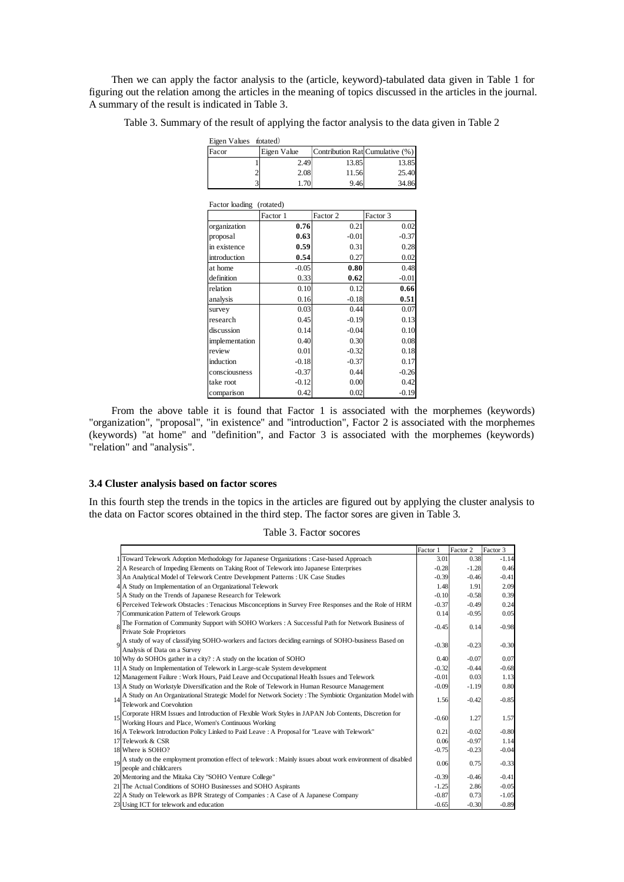Then we can apply the factor analysis to the (article, keyword)-tabulated data given in Table 1 for figuring out the relation among the articles in the meaning of topics discussed in the articles in the journal. A summary of the result is indicated in Table 3.

Table 3. Summary of the result of applying the factor analysis to the data given in Table 2

| Eigen Values fotated)    |  |             |                                 |          |  |  |  |  |  |  |
|--------------------------|--|-------------|---------------------------------|----------|--|--|--|--|--|--|
| Facor                    |  | Eigen Value | Contribution Rat Cumulative (%) |          |  |  |  |  |  |  |
|                          |  | 2.49        | 13.85                           | 13.85    |  |  |  |  |  |  |
|                          |  | 2.08        | 11.56                           | 25.40    |  |  |  |  |  |  |
|                          |  | 1.70        | 9.46                            | 34.86    |  |  |  |  |  |  |
| Factor loading (rotated) |  |             |                                 |          |  |  |  |  |  |  |
|                          |  | Factor 1    | Factor 2                        | Factor 3 |  |  |  |  |  |  |
| .                        |  | 0.50        | 0.21                            | $\alpha$ |  |  |  |  |  |  |

|                | Factor 1 | Factor 2 | Factor 3 |
|----------------|----------|----------|----------|
| organization   | 0.76     | 0.21     | 0.02     |
| proposal       | 0.63     | $-0.01$  | $-0.37$  |
| in existence   | 0.59     | 0.31     | 0.28     |
| introduction   | 0.54     | 0.27     | 0.02     |
| at home        | $-0.05$  | 0.80     | 0.48     |
| definition     | 0.33     | 0.62     | $-0.01$  |
| relation       | 0.10     | 0.12     | 0.66     |
| analysis       | 0.16     | $-0.18$  | 0.51     |
| survey         | 0.03     | 0.44     | 0.07     |
| research       | 0.45     | $-0.19$  | 0.13     |
| discussion     | 0.14     | $-0.04$  | 0.10     |
| implementation | 0.40     | 0.30     | 0.08     |
| review         | 0.01     | $-0.32$  | 0.18     |
| induction      | $-0.18$  | $-0.37$  | 0.17     |
| consciousness  | $-0.37$  | 0.44     | $-0.26$  |
| take root      | $-0.12$  | 0.00     | 0.42     |
| comparison     | 0.42     | 0.02     | $-0.19$  |

From the above table it is found that Factor 1 is associated with the morphemes (keywords) "organization", "proposal", "in existence" and "introduction", Factor 2 is associated with the morphemes (keywords) "at home" and "definition", and Factor 3 is associated with the morphemes (keywords) "relation" and "analysis".

# **3.4 Cluster analysis based on factor scores**

In this fourth step the trends in the topics in the articles are figured out by applying the cluster analysis to the data on Factor scores obtained in the third step. The factor sores are given in Table 3.

Table 3. Factor socores

|    |                                                                                                                                                            | Factor 1 | Factor 2          | Factor 3 |
|----|------------------------------------------------------------------------------------------------------------------------------------------------------------|----------|-------------------|----------|
|    | 1 Toward Telework Adoption Methodology for Japanese Organizations : Case-based Approach                                                                    | 3.01     | 0.38 <sup>3</sup> | $-1.14$  |
|    | 2 A Research of Impeding Elements on Taking Root of Telework into Japanese Enterprises                                                                     | $-0.28$  | $-1.28$           | 0.46     |
|    | 3 An Analytical Model of Telework Centre Development Patterns : UK Case Studies                                                                            | $-0.39$  | $-0.46$           | $-0.41$  |
|    | 4 A Study on Implementation of an Organizational Telework                                                                                                  | 1.48     | 1.91              | 2.09     |
|    | 5 A Study on the Trends of Japanese Research for Telework                                                                                                  | $-0.10$  | $-0.58$           | 0.39     |
|    | 6 Perceived Telework Obstacles : Tenacious Misconceptions in Survey Free Responses and the Role of HRM                                                     | $-0.37$  | $-0.49i$          | 0.24     |
|    | 7 Communication Pattern of Telework Groups                                                                                                                 | 0.14     | $-0.95$           | 0.05     |
| 8  | The Formation of Community Support with SOHO Workers : A Successful Path for Network Business of<br><b>Private Sole Proprietors</b>                        | $-0.45$  | $0.14\frac{3}{5}$ | $-0.98$  |
| 9  | A study of way of classifying SOHO-workers and factors deciding earnings of SOHO-business Based on<br>Analysis of Data on a Survey                         | $-0.38$  | $-0.23$           | $-0.30$  |
|    | 10 Why do SOHOs gather in a city? : A study on the location of SOHO                                                                                        | 0.40     | $-0.07$           | 0.07     |
|    | 11 A Study on Implementation of Telework in Large-scale System development                                                                                 | $-0.32$  | $-0.44i$          | $-0.68$  |
|    | 12 Management Failure : Work Hours, Paid Leave and Occupational Health Issues and Telework                                                                 | $-0.01$  | 0.03              | 1.13     |
|    | 13 A Study on Workstyle Diversification and the Role of Telework in Human Resource Management                                                              | $-0.09$  | $-1.19$           | 0.80     |
| 14 | A Study on An Organizational Strategic Model for Network Society : The Symbiotic Organization Model with<br>Telework and Coevolution                       | 1.56     | $-0.42$           | $-0.85$  |
| 15 | Corporate HRM Issues and Introduction of Flexible Work Styles in JAPAN Job Contents, Discretion for<br>Working Hours and Place, Women's Continuous Working | $-0.60$  | 1.27              | 1.57     |
|    | 16 A Telework Introduction Policy Linked to Paid Leave : A Proposal for "Leave with Telework"                                                              | 0.21     | $-0.02i$          | $-0.80$  |
|    | 17 Telework & CSR                                                                                                                                          | 0.06     | $-0.97i$          | 1.14     |
|    | 18 Where is SOHO?                                                                                                                                          | $-0.75$  | $-0.23$           | $-0.04$  |
|    | 19 A study on the employment promotion effect of telework : Mainly issues about work environment of disabled<br>people and childcarers                     | 0.06     | 0.75              | $-0.33$  |
|    | 20 Mentoring and the Mitaka City "SOHO Venture College"                                                                                                    | $-0.39$  | $-0.46$           | $-0.41$  |
|    | 21 The Actual Conditions of SOHO Businesses and SOHO Aspirants                                                                                             | $-1.25$  | 2.86              | $-0.05$  |
|    | 22 A Study on Telework as BPR Strategy of Companies : A Case of A Japanese Company                                                                         | $-0.87$  | 0.73              | $-1.05$  |
|    | 23 Using ICT for telework and education                                                                                                                    | $-0.65$  | $-0.30$           | $-0.89$  |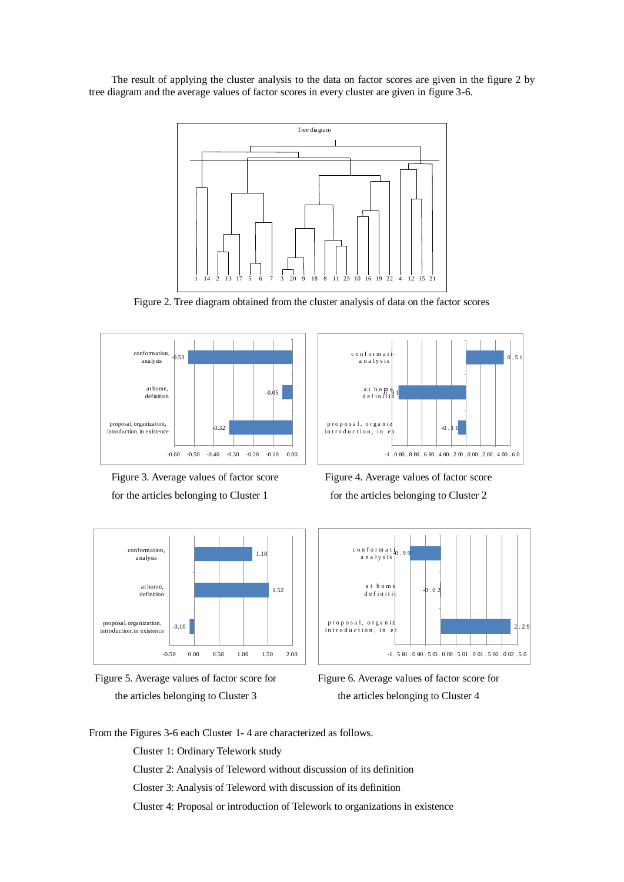The result of applying the cluster analysis to the data on factor scores are given in the figure 2 by tree diagram and the average values of factor scores in every cluster are given in figure 3-6.



Figure 2. Tree diagram obtained from the cluster analysis of data on the factor scores













the articles belonging to Cluster 3 the articles belonging to Cluster 4

From the Figures 3-6 each Cluster 1- 4 are characterized as follows.

Cluster 1: Ordinary Telework study

Cluster 2: Analysis of Teleword without discussion of its definition

Closter 3: Analysis of Teleword with discussion of its definition

Cluster 4: Proposal or introduction of Telework to organizations in existence